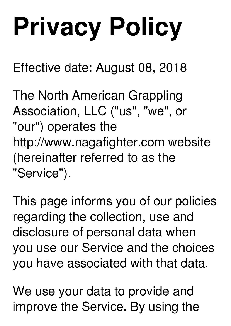# **Privacy Policy**

Effective date: August 08, 2018

The North American Grappling Association, LLC ("us", "we", or "our") operates the http://www.nagafighter.com website (hereinafter referred to as the "Service").

This page informs you of our policies regarding the collection, use and disclosure of personal data when you use our Service and the choices you have associated with that data.

We use your data to provide and improve the Service. By using the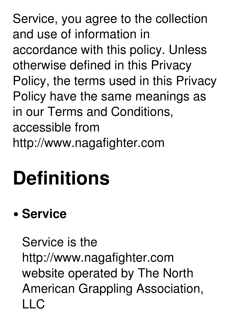Service, you agree to the collection and use of information in accordance with this policy. Unless otherwise defined in this Privacy Policy, the terms used in this Privacy Policy have the same meanings as in our Terms and Conditions, accessible from http://www.nagafighter.com

# **Definitions**

### **Service**

Service is the http://www.nagafighter.com website operated by The North American Grappling Association,  $\overline{\phantom{a}}$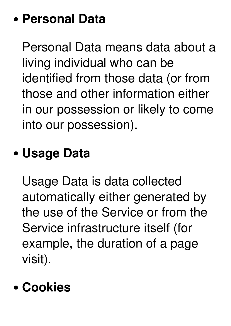#### **Personal Data**

Personal Data means data about a living individual who can be identified from those data (or from those and other information either in our possession or likely to come into our possession).

#### **Usage Data**

Usage Data is data collected automatically either generated by the use of the Service or from the Service infrastructure itself (for example, the duration of a page visit).

#### **Cookies**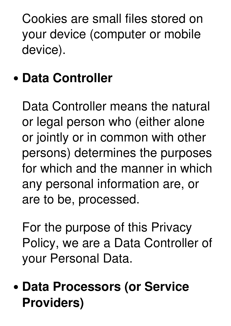Cookies are small files stored on your device (computer or mobile device).

### **Data Controller**

Data Controller means the natural or legal person who (either alone or jointly or in common with other persons) determines the purposes for which and the manner in which any personal information are, or are to be, processed.

For the purpose of this Privacy Policy, we are a Data Controller of your Personal Data.

**Data Processors (or Service Providers)**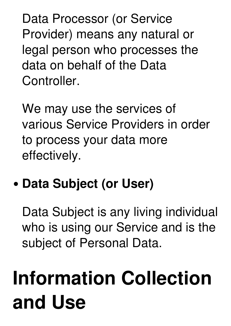Data Processor (or Service Provider) means any natural or legal person who processes the data on behalf of the Data Controller.

We may use the services of various Service Providers in order to process your data more effectively.

### **Data Subject (or User)**

Data Subject is any living individual who is using our Service and is the subject of Personal Data.

# **Information Collection and Use**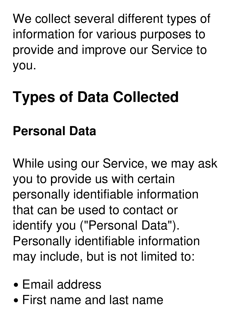We collect several different types of information for various purposes to provide and improve our Service to you.

### **Types of Data Collected**

### **Personal Data**

While using our Service, we may ask you to provide us with certain personally identifiable information that can be used to contact or identify you ("Personal Data"). Personally identifiable information may include, but is not limited to:

- Email address
- First name and last name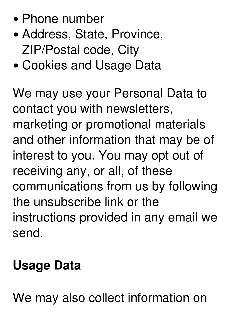- Phone number
- Address, State, Province, ZIP/Postal code, City
- Cookies and Usage Data

We may use your Personal Data to contact you with newsletters, marketing or promotional materials and other information that may be of interest to you. You may opt out of receiving any, or all, of these communications from us by following the unsubscribe link or the instructions provided in any email we send.

#### **Usage Data**

We may also collect information on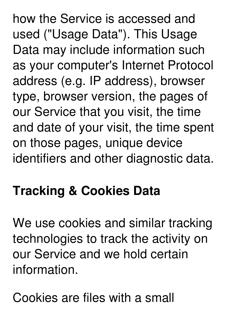how the Service is accessed and used ("Usage Data"). This Usage Data may include information such as your computer's Internet Protocol address (e.g. IP address), browser type, browser version, the pages of our Service that you visit, the time and date of your visit, the time spent on those pages, unique device identifiers and other diagnostic data.

### **Tracking & Cookies Data**

We use cookies and similar tracking technologies to track the activity on our Service and we hold certain information.

Cookies are files with a small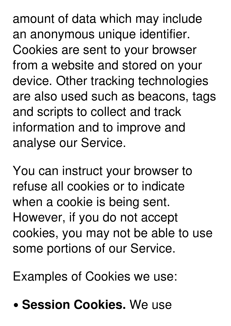amount of data which may include an anonymous unique identifier. Cookies are sent to your browser from a website and stored on your device. Other tracking technologies are also used such as beacons, tags and scripts to collect and track information and to improve and analyse our Service.

You can instruct your browser to refuse all cookies or to indicate when a cookie is being sent. However, if you do not accept cookies, you may not be able to use some portions of our Service.

Examples of Cookies we use:

**Session Cookies.** We use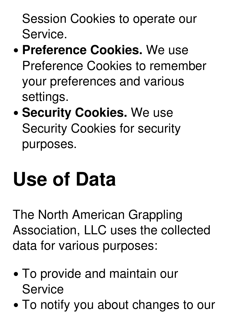Session Cookies to operate our Service.

- **Preference Cookies.** We use Preference Cookies to remember your preferences and various settings.
- **Security Cookies. We use** Security Cookies for security purposes.

# **Use of Data**

The North American Grappling Association, LLC uses the collected data for various purposes:

- To provide and maintain our **Service**
- To notify you about changes to our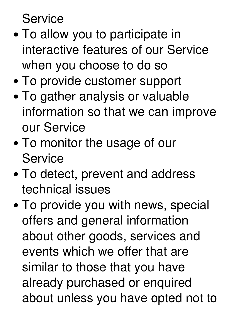**Service** 

- To allow you to participate in interactive features of our Service when you choose to do so
- To provide customer support
- To gather analysis or valuable information so that we can improve our Service
- To monitor the usage of our **Service**
- To detect, prevent and address technical issues
- To provide you with news, special offers and general information about other goods, services and events which we offer that are similar to those that you have already purchased or enquired about unless you have opted not to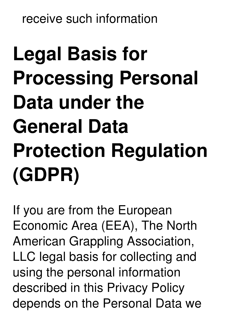receive such information

# **Legal Basis for Processing Personal Data under the General Data Protection Regulation (GDPR)**

If you are from the European Economic Area (EEA), The North American Grappling Association, LLC legal basis for collecting and using the personal information described in this Privacy Policy depends on the Personal Data we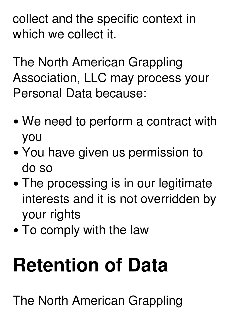collect and the specific context in which we collect it.

The North American Grappling Association, LLC may process your Personal Data because:

- We need to perform a contract with you
- You have given us permission to do so
- The processing is in our legitimate interests and it is not overridden by your rights
- To comply with the law

# **Retention of Data**

The North American Grappling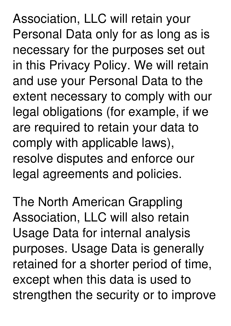Association, LLC will retain your Personal Data only for as long as is necessary for the purposes set out in this Privacy Policy. We will retain and use your Personal Data to the extent necessary to comply with our legal obligations (for example, if we are required to retain your data to comply with applicable laws), resolve disputes and enforce our legal agreements and policies.

The North American Grappling Association, LLC will also retain Usage Data for internal analysis purposes. Usage Data is generally retained for a shorter period of time, except when this data is used to strengthen the security or to improve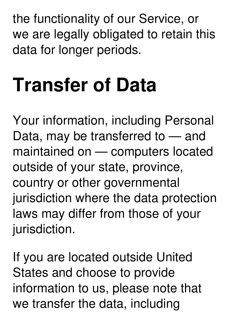the functionality of our Service, or we are legally obligated to retain this data for longer periods.

# **Transfer of Data**

Your information, including Personal Data, may be transferred to — and maintained on — computers located outside of your state, province, country or other governmental jurisdiction where the data protection laws may differ from those of your jurisdiction.

If you are located outside United States and choose to provide information to us, please note that we transfer the data, including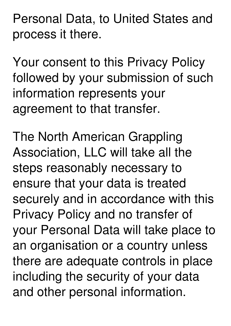Personal Data, to United States and process it there.

Your consent to this Privacy Policy followed by your submission of such information represents your agreement to that transfer.

The North American Grappling Association, LLC will take all the steps reasonably necessary to ensure that your data is treated securely and in accordance with this Privacy Policy and no transfer of your Personal Data will take place to an organisation or a country unless there are adequate controls in place including the security of your data and other personal information.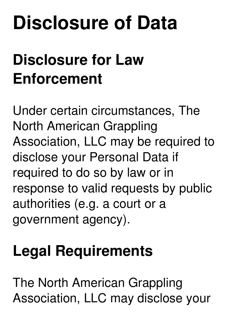## **Disclosure of Data**

### **Disclosure for Law Enforcement**

Under certain circumstances, The North American Grappling Association, LLC may be required to disclose your Personal Data if required to do so by law or in response to valid requests by public authorities (e.g. a court or a government agency).

### **Legal Requirements**

The North American Grappling Association, LLC may disclose your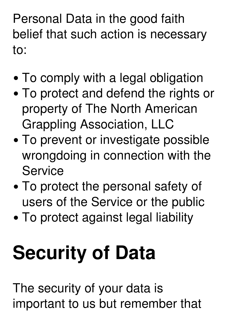Personal Data in the good faith belief that such action is necessary to:

- To comply with a legal obligation
- To protect and defend the rights or property of The North American Grappling Association, LLC
- To prevent or investigate possible wrongdoing in connection with the **Service**
- To protect the personal safety of users of the Service or the public
- To protect against legal liability

# **Security of Data**

The security of your data is important to us but remember that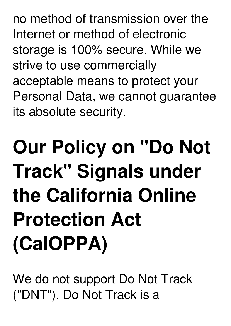no method of transmission over the Internet or method of electronic storage is 100% secure. While we strive to use commercially acceptable means to protect your Personal Data, we cannot guarantee its absolute security.

# **Our Policy on "Do Not Track" Signals under the California Online Protection Act (CalOPPA)**

We do not support Do Not Track ("DNT"). Do Not Track is a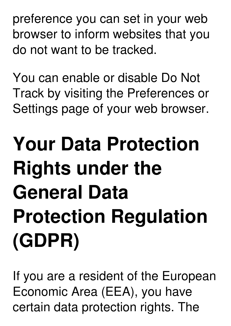preference you can set in your web browser to inform websites that you do not want to be tracked.

You can enable or disable Do Not Track by visiting the Preferences or Settings page of your web browser.

# **Your Data Protection Rights under the General Data Protection Regulation (GDPR)**

If you are a resident of the European Economic Area (EEA), you have certain data protection rights. The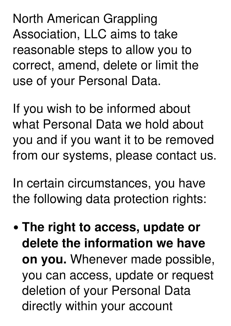North American Grappling Association, LLC aims to take reasonable steps to allow you to correct, amend, delete or limit the use of your Personal Data.

If you wish to be informed about what Personal Data we hold about you and if you want it to be removed from our systems, please contact us.

In certain circumstances, you have the following data protection rights:

**The right to access, update or delete the information we have on you.** Whenever made possible, you can access, update or request deletion of your Personal Data directly within your account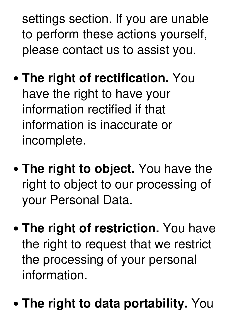settings section. If you are unable to perform these actions yourself, please contact us to assist you.

- **The right of rectification.** You have the right to have your information rectified if that information is inaccurate or incomplete.
- **The right to object.** You have the right to object to our processing of your Personal Data.
- **The right of restriction.** You have the right to request that we restrict the processing of your personal information.
- **The right to data portability.** You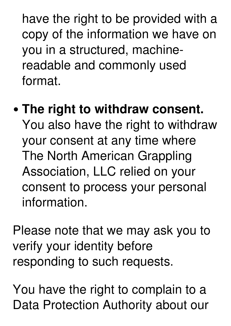have the right to be provided with a copy of the information we have on you in a structured, machinereadable and commonly used format.

**The right to withdraw consent.** You also have the right to withdraw your consent at any time where The North American Grappling Association, LLC relied on your consent to process your personal information.

Please note that we may ask you to verify your identity before responding to such requests.

You have the right to complain to a Data Protection Authority about our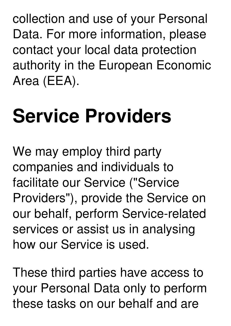collection and use of your Personal Data. For more information, please contact your local data protection authority in the European Economic Area (EEA).

# **Service Providers**

We may employ third party companies and individuals to facilitate our Service ("Service Providers"), provide the Service on our behalf, perform Service-related services or assist us in analysing how our Service is used.

These third parties have access to your Personal Data only to perform these tasks on our behalf and are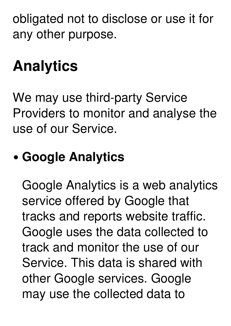obligated not to disclose or use it for any other purpose.

### **Analytics**

We may use third-party Service Providers to monitor and analyse the use of our Service.

### **Google Analytics**

Google Analytics is a web analytics service offered by Google that tracks and reports website traffic. Google uses the data collected to track and monitor the use of our Service. This data is shared with other Google services. Google may use the collected data to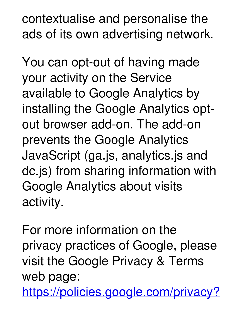contextualise and personalise the ads of its own advertising network.

You can opt-out of having made your activity on the Service available to Google Analytics by installing the Google Analytics opt out browser add-on. The add-on prevents the Google Analytics JavaScript (ga.js, analytics.js and dc.js) from sharing information with Google Analytics about visits activity.

For more information on the privacy practices of Google, please visit the Google Privacy & Terms web page:

[https://policies.google.com/privacy?](https://policies.google.com/privacy?hl=en)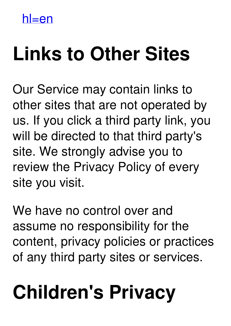$h$ l $=$ en

# **Links to Other Sites**

Our Service may contain links to other sites that are not operated by us. If you click a third party link, you will be directed to that third party's site. We strongly advise you to review the Privacy Policy of every site you visit.

We have no control over and assume no responsibility for the content, privacy policies or practices of any third party sites or services.

# **Children's Privacy**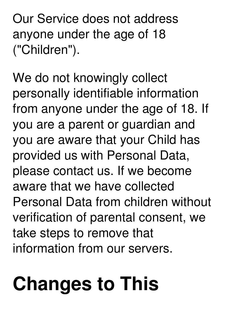Our Service does not address anyone under the age of 18 ("Children").

We do not knowingly collect personally identifiable information from anyone under the age of 18. If you are a parent or guardian and you are aware that your Child has provided us with Personal Data, please contact us. If we become aware that we have collected Personal Data from children without verification of parental consent, we take steps to remove that information from our servers.

# **Changes to This**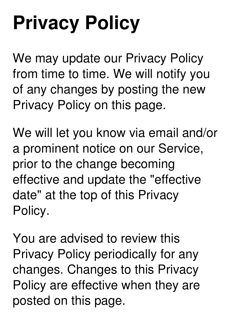# **Privacy Policy**

We may update our Privacy Policy from time to time. We will notify you of any changes by posting the new Privacy Policy on this page.

We will let you know via email and/or a prominent notice on our Service, prior to the change becoming effective and update the "effective date" at the top of this Privacy Policy.

You are advised to review this Privacy Policy periodically for any changes. Changes to this Privacy Policy are effective when they are posted on this page.